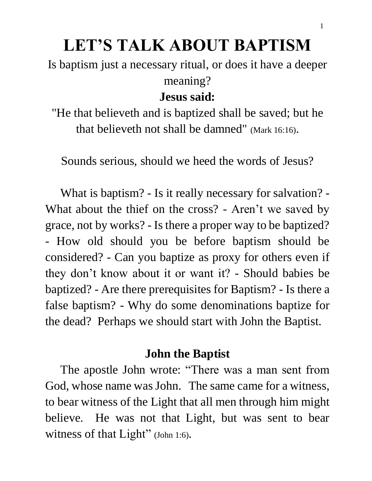# **LET'S TALK ABOUT BAPTISM**

Is baptism just a necessary ritual, or does it have a deeper meaning?

#### **Jesus said:**

"He that believeth and is baptized shall be saved; but he that believeth not shall be damned" (Mark 16:16).

Sounds serious, should we heed the words of Jesus?

 What is baptism? - Is it really necessary for salvation? - What about the thief on the cross? - Aren't we saved by grace, not by works? - Is there a proper way to be baptized? - How old should you be before baptism should be considered? - Can you baptize as proxy for others even if they don't know about it or want it? - Should babies be baptized? - Are there prerequisites for Baptism? - Is there a false baptism? - Why do some denominations baptize for the dead? Perhaps we should start with John the Baptist.

#### **John the Baptist**

 The apostle John wrote: "There was a man sent from God, whose name was John. The same came for a witness, to bear witness of the Light that all men through him might believe. He was not that Light, but was sent to bear witness of that Light" (John 1:6).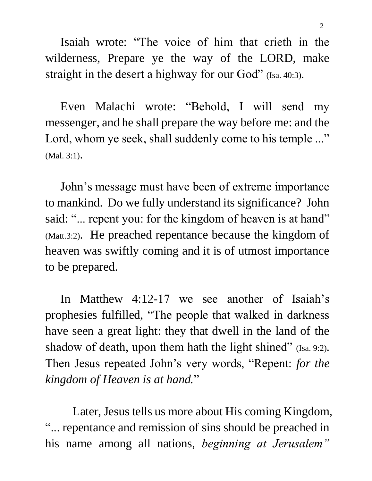Isaiah wrote: "The voice of him that crieth in the wilderness, Prepare ye the way of the LORD, make straight in the desert a highway for our God" (Isa. 40:3).

 Even Malachi wrote: "Behold, I will send my messenger, and he shall prepare the way before me: and the Lord, whom ye seek, shall suddenly come to his temple ..." (Mal. 3:1).

 John's message must have been of extreme importance to mankind. Do we fully understand its significance? John said: "... repent you: for the kingdom of heaven is at hand" (Matt.3:2). He preached repentance because the kingdom of heaven was swiftly coming and it is of utmost importance to be prepared.

 In Matthew 4:12-17 we see another of Isaiah's prophesies fulfilled, "The people that walked in darkness have seen a great light: they that dwell in the land of the shadow of death, upon them hath the light shined" (Isa. 9:2). Then Jesus repeated John's very words, "Repent: *for the kingdom of Heaven is at hand.*"

 Later, Jesus tells us more about His coming Kingdom, "... repentance and remission of sins should be preached in his name among all nations, *beginning at Jerusalem"*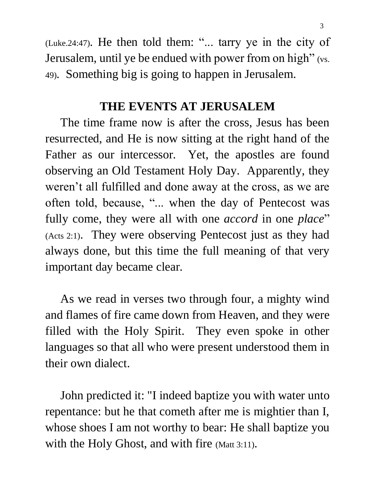(Luke.24:47). He then told them: "... tarry ye in the city of Jerusalem, until ye be endued with power from on high" (vs. 49). Something big is going to happen in Jerusalem.

#### **THE EVENTS AT JERUSALEM**

 The time frame now is after the cross, Jesus has been resurrected, and He is now sitting at the right hand of the Father as our intercessor. Yet, the apostles are found observing an Old Testament Holy Day. Apparently, they weren't all fulfilled and done away at the cross, as we are often told, because, "... when the day of Pentecost was fully come, they were all with one *accord* in one *place*" (Acts 2:1). They were observing Pentecost just as they had always done, but this time the full meaning of that very important day became clear.

 As we read in verses two through four, a mighty wind and flames of fire came down from Heaven, and they were filled with the Holy Spirit. They even spoke in other languages so that all who were present understood them in their own dialect.

 John predicted it: "I indeed baptize you with water unto repentance: but he that cometh after me is mightier than I, whose shoes I am not worthy to bear: He shall baptize you with the Holy Ghost, and with fire (Matt 3:11).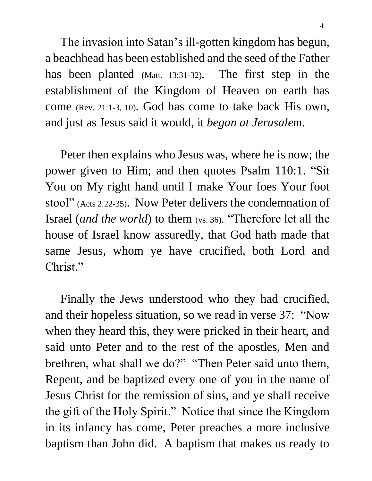The invasion into Satan's ill-gotten kingdom has begun, a beachhead has been established and the seed of the Father has been planted (Matt. 13:31-32). The first step in the establishment of the Kingdom of Heaven on earth has come (Rev. 21:1-3, 10). God has come to take back His own, and just as Jesus said it would, it *began at Jerusalem.*

 Peter then explains who Jesus was, where he is now; the power given to Him; and then quotes Psalm 110:1. "Sit You on My right hand until I make Your foes Your foot stool" (Acts 2:22-35). Now Peter delivers the condemnation of Israel (*and the world*) to them (vs. 36). "Therefore let all the house of Israel know assuredly, that God hath made that same Jesus, whom ye have crucified, both Lord and Christ."

 Finally the Jews understood who they had crucified, and their hopeless situation, so we read in verse 37: "Now when they heard this, they were pricked in their heart, and said unto Peter and to the rest of the apostles, Men and brethren, what shall we do?" "Then Peter said unto them, Repent, and be baptized every one of you in the name of Jesus Christ for the remission of sins, and ye shall receive the gift of the Holy Spirit." Notice that since the Kingdom in its infancy has come, Peter preaches a more inclusive baptism than John did. A baptism that makes us ready to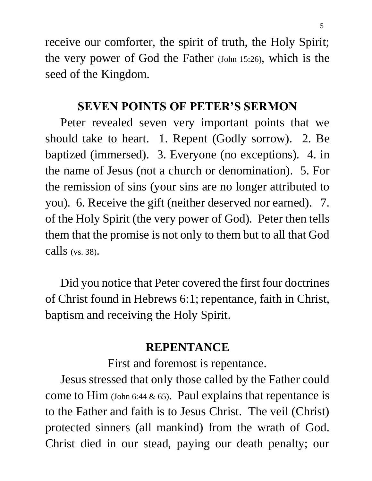receive our comforter, the spirit of truth, the Holy Spirit; the very power of God the Father (John 15:26), which is the seed of the Kingdom.

#### **SEVEN POINTS OF PETER'S SERMON**

 Peter revealed seven very important points that we should take to heart. 1. Repent (Godly sorrow). 2. Be baptized (immersed). 3. Everyone (no exceptions). 4. in the name of Jesus (not a church or denomination). 5. For the remission of sins (your sins are no longer attributed to you). 6. Receive the gift (neither deserved nor earned). 7. of the Holy Spirit (the very power of God). Peter then tells them that the promise is not only to them but to all that God calls (vs. 38).

 Did you notice that Peter covered the first four doctrines of Christ found in Hebrews 6:1; repentance, faith in Christ, baptism and receiving the Holy Spirit.

#### **REPENTANCE**

First and foremost is repentance.

 Jesus stressed that only those called by the Father could come to Him (John 6:44 & 65). Paul explains that repentance is to the Father and faith is to Jesus Christ. The veil (Christ) protected sinners (all mankind) from the wrath of God. Christ died in our stead, paying our death penalty; our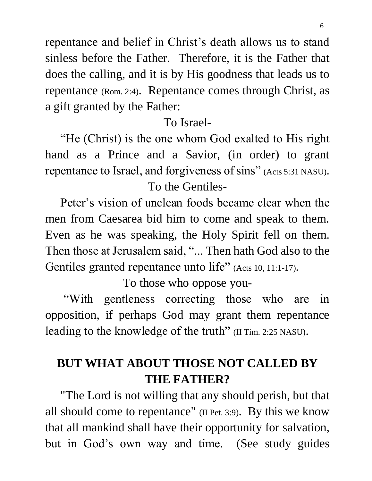repentance and belief in Christ's death allows us to stand sinless before the Father. Therefore, it is the Father that does the calling, and it is by His goodness that leads us to repentance (Rom. 2:4). Repentance comes through Christ, as a gift granted by the Father:

### To Israel-

 "He (Christ) is the one whom God exalted to His right hand as a Prince and a Savior, (in order) to grant repentance to Israel, and forgiveness of sins" (Acts 5:31 NASU). To the Gentiles-

 Peter's vision of unclean foods became clear when the men from Caesarea bid him to come and speak to them. Even as he was speaking, the Holy Spirit fell on them. Then those at Jerusalem said, "... Then hath God also to the Gentiles granted repentance unto life" (Acts 10, 11:1-17).

To those who oppose you-

 "With gentleness correcting those who are in opposition, if perhaps God may grant them repentance leading to the knowledge of the truth" (II Tim. 2:25 NASU).

# **BUT WHAT ABOUT THOSE NOT CALLED BY THE FATHER?**

 "The Lord is not willing that any should perish, but that all should come to repentance" (II Pet. 3:9). By this we know that all mankind shall have their opportunity for salvation, but in God's own way and time. (See study guides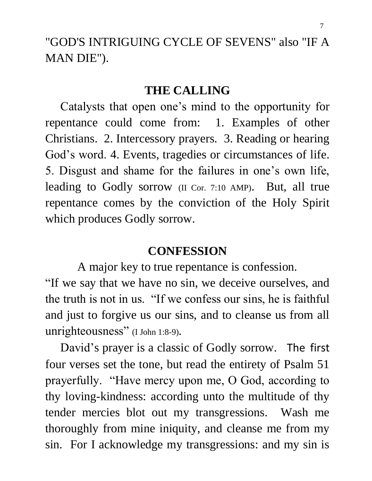"GOD'S INTRIGUING CYCLE OF SEVENS" also "IF A MAN DIE").

#### **THE CALLING**

 Catalysts that open one's mind to the opportunity for repentance could come from: 1. Examples of other Christians. 2. Intercessory prayers. 3. Reading or hearing God's word. 4. Events, tragedies or circumstances of life. 5. Disgust and shame for the failures in one's own life, leading to Godly sorrow (II Cor. 7:10 AMP). But, all true repentance comes by the conviction of the Holy Spirit which produces Godly sorrow.

#### **CONFESSION**

A major key to true repentance is confession.

"If we say that we have no sin, we deceive ourselves, and the truth is not in us. "If we confess our sins, he is faithful and just to forgive us our sins, and to cleanse us from all unrighteousness" (I John 1:8-9).

 David's prayer is a classic of Godly sorrow. The first four verses set the tone, but read the entirety of Psalm 51 prayerfully. "Have mercy upon me, O God, according to thy loving-kindness: according unto the multitude of thy tender mercies blot out my transgressions. Wash me thoroughly from mine iniquity, and cleanse me from my sin. For I acknowledge my transgressions: and my sin is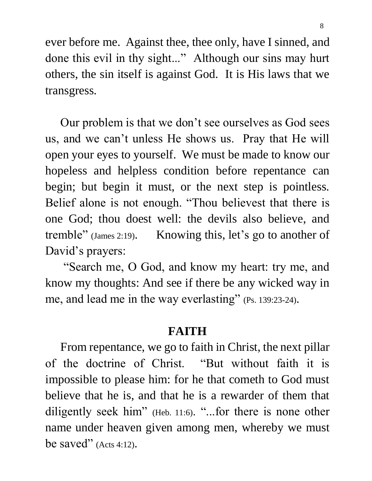ever before me. Against thee, thee only, have I sinned, and done this evil in thy sight..." Although our sins may hurt others, the sin itself is against God. It is His laws that we transgress.

 Our problem is that we don't see ourselves as God sees us, and we can't unless He shows us. Pray that He will open your eyes to yourself. We must be made to know our hopeless and helpless condition before repentance can begin; but begin it must, or the next step is pointless. Belief alone is not enough. "Thou believest that there is one God; thou doest well: the devils also believe, and tremble" (James 2:19). Knowing this, let's go to another of David's prayers:

 "Search me, O God, and know my heart: try me, and know my thoughts: And see if there be any wicked way in me, and lead me in the way everlasting" (Ps. 139:23-24).

#### **FAITH**

 From repentance, we go to faith in Christ, the next pillar of the doctrine of Christ. "But without faith it is impossible to please him: for he that cometh to God must believe that he is, and that he is a rewarder of them that diligently seek him" (Heb. 11:6). "...for there is none other name under heaven given among men, whereby we must be saved" (Acts 4:12).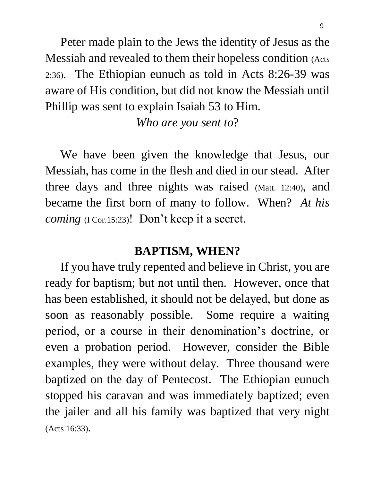Peter made plain to the Jews the identity of Jesus as the Messiah and revealed to them their hopeless condition (Acts 2:36). The Ethiopian eunuch as told in Acts 8:26-39 was aware of His condition, but did not know the Messiah until Phillip was sent to explain Isaiah 53 to Him.

*Who are you sent to*?

 We have been given the knowledge that Jesus, our Messiah, has come in the flesh and died in our stead. After three days and three nights was raised (Matt. 12:40), and became the first born of many to follow. When? *At his coming* (I Cor.15:23)! Don't keep it a secret.

#### **BAPTISM, WHEN?**

 If you have truly repented and believe in Christ, you are ready for baptism; but not until then. However, once that has been established, it should not be delayed, but done as soon as reasonably possible. Some require a waiting period, or a course in their denomination's doctrine, or even a probation period. However, consider the Bible examples, they were without delay. Three thousand were baptized on the day of Pentecost. The Ethiopian eunuch stopped his caravan and was immediately baptized; even the jailer and all his family was baptized that very night (Acts 16:33).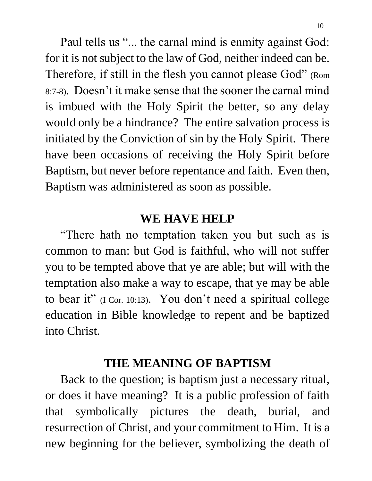Paul tells us "... the carnal mind is enmity against God: for it is not subject to the law of God, neither indeed can be. Therefore, if still in the flesh you cannot please God" (Rom 8:7-8). Doesn't it make sense that the sooner the carnal mind is imbued with the Holy Spirit the better, so any delay would only be a hindrance? The entire salvation process is initiated by the Conviction of sin by the Holy Spirit. There have been occasions of receiving the Holy Spirit before Baptism, but never before repentance and faith. Even then, Baptism was administered as soon as possible.

#### **WE HAVE HELP**

 "There hath no temptation taken you but such as is common to man: but God is faithful, who will not suffer you to be tempted above that ye are able; but will with the temptation also make a way to escape, that ye may be able to bear it" (I Cor. 10:13). You don't need a spiritual college education in Bible knowledge to repent and be baptized into Christ.

### **THE MEANING OF BAPTISM**

 Back to the question; is baptism just a necessary ritual, or does it have meaning? It is a public profession of faith that symbolically pictures the death, burial, and resurrection of Christ, and your commitment to Him. It is a new beginning for the believer, symbolizing the death of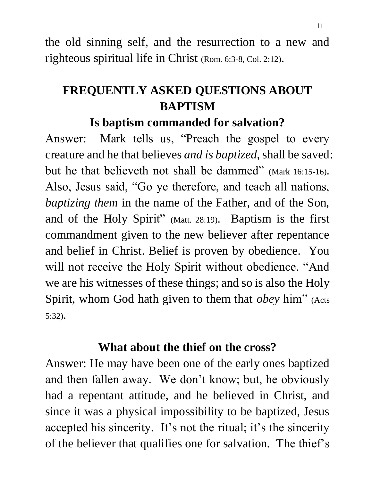the old sinning self, and the resurrection to a new and righteous spiritual life in Christ (Rom. 6:3-8, Col. 2:12).

# **FREQUENTLY ASKED QUESTIONS ABOUT BAPTISM**

**Is baptism commanded for salvation?**

Answer: Mark tells us, "Preach the gospel to every creature and he that believes *and is baptized*, shall be saved: but he that believeth not shall be dammed" (Mark 16:15-16). Also, Jesus said, "Go ye therefore, and teach all nations, *baptizing them* in the name of the Father, and of the Son, and of the Holy Spirit" (Matt. 28:19). Baptism is the first commandment given to the new believer after repentance and belief in Christ. Belief is proven by obedience. You will not receive the Holy Spirit without obedience. "And we are his witnesses of these things; and so is also the Holy Spirit, whom God hath given to them that *obey* him" (Acts 5:32).

#### **What about the thief on the cross?**

Answer: He may have been one of the early ones baptized and then fallen away. We don't know; but, he obviously had a repentant attitude, and he believed in Christ, and since it was a physical impossibility to be baptized, Jesus accepted his sincerity. It's not the ritual; it's the sincerity of the believer that qualifies one for salvation. The thief's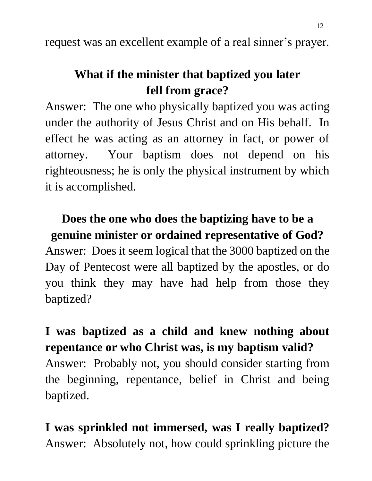request was an excellent example of a real sinner's prayer.

# **What if the minister that baptized you later fell from grace?**

Answer: The one who physically baptized you was acting under the authority of Jesus Christ and on His behalf. In effect he was acting as an attorney in fact, or power of attorney. Your baptism does not depend on his righteousness; he is only the physical instrument by which it is accomplished.

**Does the one who does the baptizing have to be a genuine minister or ordained representative of God?** Answer: Does it seem logical that the 3000 baptized on the Day of Pentecost were all baptized by the apostles, or do you think they may have had help from those they baptized?

**I was baptized as a child and knew nothing about repentance or who Christ was, is my baptism valid?**  Answer: Probably not, you should consider starting from the beginning, repentance, belief in Christ and being baptized.

**I was sprinkled not immersed, was I really baptized?** Answer: Absolutely not, how could sprinkling picture the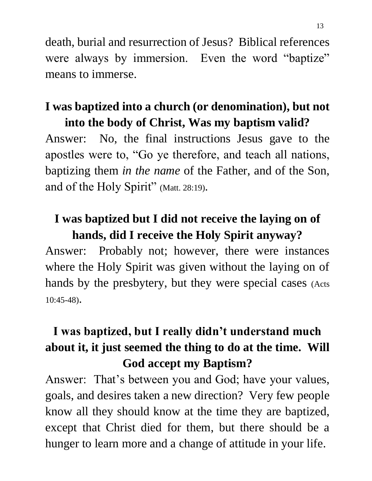death, burial and resurrection of Jesus? Biblical references were always by immersion. Even the word "baptize" means to immerse.

## **I was baptized into a church (or denomination), but not into the body of Christ, Was my baptism valid?**

Answer: No, the final instructions Jesus gave to the apostles were to, "Go ye therefore, and teach all nations, baptizing them *in the name* of the Father, and of the Son, and of the Holy Spirit" (Matt. 28:19).

# **I was baptized but I did not receive the laying on of hands, did I receive the Holy Spirit anyway?**

Answer: Probably not; however, there were instances where the Holy Spirit was given without the laying on of hands by the presbytery, but they were special cases (Acts 10:45-48).

# **I was baptized, but I really didn't understand much about it, it just seemed the thing to do at the time. Will God accept my Baptism?**

Answer: That's between you and God; have your values, goals, and desires taken a new direction? Very few people know all they should know at the time they are baptized, except that Christ died for them, but there should be a hunger to learn more and a change of attitude in your life.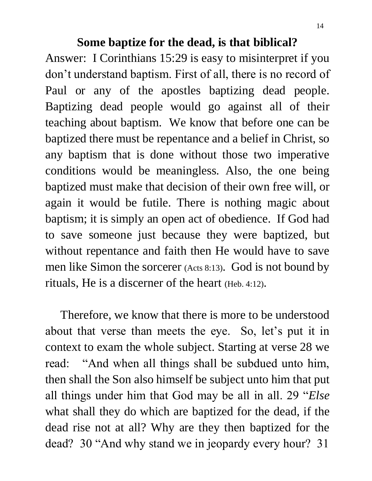#### **Some baptize for the dead, is that biblical?**

Answer: I Corinthians 15:29 is easy to misinterpret if you don't understand baptism. First of all, there is no record of Paul or any of the apostles baptizing dead people. Baptizing dead people would go against all of their teaching about baptism. We know that before one can be baptized there must be repentance and a belief in Christ, so any baptism that is done without those two imperative conditions would be meaningless. Also, the one being baptized must make that decision of their own free will, or again it would be futile. There is nothing magic about baptism; it is simply an open act of obedience. If God had to save someone just because they were baptized, but without repentance and faith then He would have to save men like Simon the sorcerer (Acts 8:13). God is not bound by rituals, He is a discerner of the heart (Heb. 4:12).

 Therefore, we know that there is more to be understood about that verse than meets the eye. So, let's put it in context to exam the whole subject. Starting at verse 28 we read: "And when all things shall be subdued unto him, then shall the Son also himself be subject unto him that put all things under him that God may be all in all. 29 "*Else*  what shall they do which are baptized for the dead, if the dead rise not at all? Why are they then baptized for the dead? 30 "And why stand we in jeopardy every hour? 31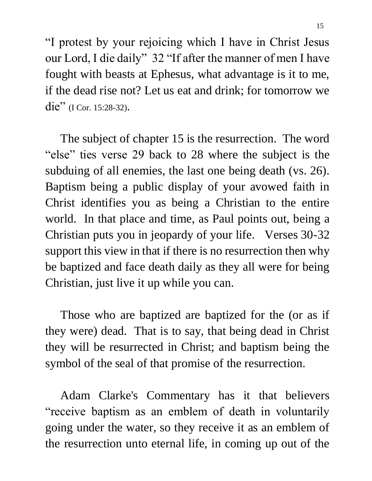"I protest by your rejoicing which I have in Christ Jesus our Lord, I die daily" 32 "If after the manner of men I have fought with beasts at Ephesus, what advantage is it to me, if the dead rise not? Let us eat and drink; for tomorrow we die" (I Cor. 15:28-32).

 The subject of chapter 15 is the resurrection. The word "else" ties verse 29 back to 28 where the subject is the subduing of all enemies, the last one being death (vs. 26). Baptism being a public display of your avowed faith in Christ identifies you as being a Christian to the entire world. In that place and time, as Paul points out, being a Christian puts you in jeopardy of your life. Verses 30-32 support this view in that if there is no resurrection then why be baptized and face death daily as they all were for being Christian, just live it up while you can.

 Those who are baptized are baptized for the (or as if they were) dead. That is to say, that being dead in Christ they will be resurrected in Christ; and baptism being the symbol of the seal of that promise of the resurrection.

 Adam Clarke's Commentary has it that believers "receive baptism as an emblem of death in voluntarily going under the water, so they receive it as an emblem of the resurrection unto eternal life, in coming up out of the